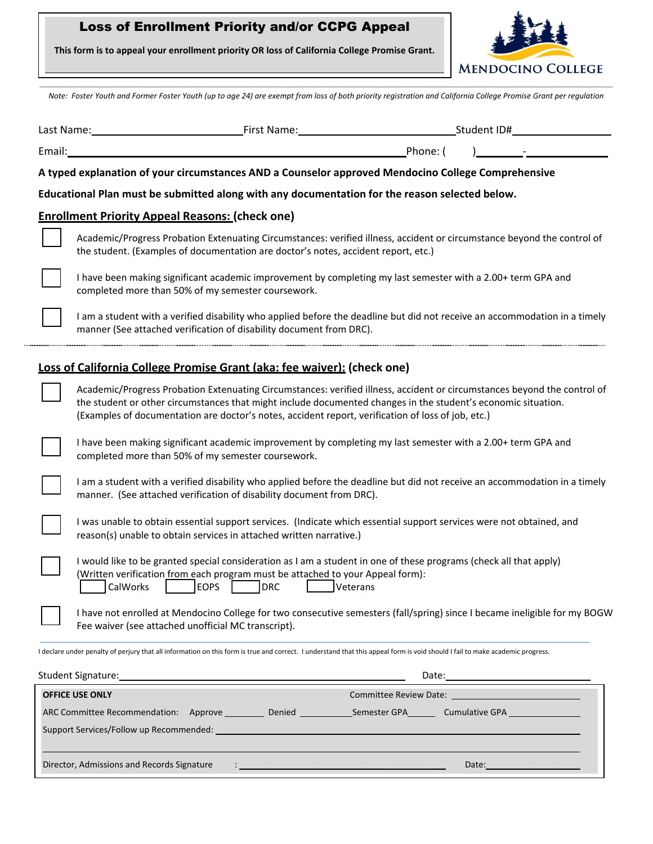## Loss of Enrollment Priority and/or CCPG Appeal

**This form is to appeal your enrollment priority OR loss of California College Promise Grant.**



**\_\_\_\_\_\_\_\_\_\_\_\_\_\_\_\_\_\_\_\_\_\_\_\_\_\_\_\_\_\_\_\_\_\_\_\_\_\_\_\_\_\_\_\_\_\_\_\_\_\_\_\_\_\_\_\_\_\_\_\_\_\_\_\_\_\_\_\_\_\_\_\_\_\_\_\_\_\_\_\_\_\_\_\_\_\_\_\_\_\_\_\_\_\_\_\_\_\_\_\_\_\_\_\_\_\_\_\_\_\_\_\_\_\_\_\_\_\_\_\_\_\_\_\_\_\_\_\_\_\_\_\_\_\_\_\_\_\_\_\_\_\_\_\_\_\_\_\_\_\_\_\_\_\_\_\_\_\_\_\_\_\_\_\_\_\_\_\_\_\_\_\_\_\_\_\_\_\_\_\_\_\_\_\_\_\_\_\_\_\_\_\_\_\_\_\_\_\_\_\_\_\_\_\_\_\_\_\_\_\_\_\_\_\_\_** *Note: Foster Youth and Former Foster Youth (up to age 24) are exempt from loss of both priority registration and California College Promise Grant per regulation*

|                                                                                                                               | First Name:<br>Last Name:                                                                                                                                                                                                                                                                                                                       |          | _Student ID#___ |  |  |  |
|-------------------------------------------------------------------------------------------------------------------------------|-------------------------------------------------------------------------------------------------------------------------------------------------------------------------------------------------------------------------------------------------------------------------------------------------------------------------------------------------|----------|-----------------|--|--|--|
| Email:                                                                                                                        |                                                                                                                                                                                                                                                                                                                                                 | Phone: ( |                 |  |  |  |
|                                                                                                                               | A typed explanation of your circumstances AND a Counselor approved Mendocino College Comprehensive                                                                                                                                                                                                                                              |          |                 |  |  |  |
|                                                                                                                               | Educational Plan must be submitted along with any documentation for the reason selected below.                                                                                                                                                                                                                                                  |          |                 |  |  |  |
|                                                                                                                               | <b>Enrollment Priority Appeal Reasons: (check one)</b>                                                                                                                                                                                                                                                                                          |          |                 |  |  |  |
|                                                                                                                               | Academic/Progress Probation Extenuating Circumstances: verified illness, accident or circumstance beyond the control of<br>the student. (Examples of documentation are doctor's notes, accident report, etc.)                                                                                                                                   |          |                 |  |  |  |
|                                                                                                                               | I have been making significant academic improvement by completing my last semester with a 2.00+ term GPA and<br>completed more than 50% of my semester coursework.                                                                                                                                                                              |          |                 |  |  |  |
|                                                                                                                               | I am a student with a verified disability who applied before the deadline but did not receive an accommodation in a timely<br>manner (See attached verification of disability document from DRC).                                                                                                                                               |          |                 |  |  |  |
|                                                                                                                               | Loss of California College Promise Grant (aka: fee waiver): (check one)                                                                                                                                                                                                                                                                         |          |                 |  |  |  |
|                                                                                                                               | Academic/Progress Probation Extenuating Circumstances: verified illness, accident or circumstances beyond the control of<br>the student or other circumstances that might include documented changes in the student's economic situation.<br>(Examples of documentation are doctor's notes, accident report, verification of loss of job, etc.) |          |                 |  |  |  |
|                                                                                                                               | I have been making significant academic improvement by completing my last semester with a 2.00+ term GPA and<br>completed more than 50% of my semester coursework.                                                                                                                                                                              |          |                 |  |  |  |
|                                                                                                                               | I am a student with a verified disability who applied before the deadline but did not receive an accommodation in a timely<br>manner. (See attached verification of disability document from DRC).                                                                                                                                              |          |                 |  |  |  |
|                                                                                                                               | I was unable to obtain essential support services. (Indicate which essential support services were not obtained, and<br>reason(s) unable to obtain services in attached written narrative.)                                                                                                                                                     |          |                 |  |  |  |
|                                                                                                                               | I would like to be granted special consideration as I am a student in one of these programs (check all that apply)<br>(Written verification from each program must be attached to your Appeal form):<br><b>EOPS</b><br><b>DRC</b><br>CalWorks<br>Veterans                                                                                       |          |                 |  |  |  |
|                                                                                                                               | I have not enrolled at Mendocino College for two consecutive semesters (fall/spring) since I became ineligible for my BOGW<br>Fee waiver (see attached unofficial MC transcript).                                                                                                                                                               |          |                 |  |  |  |
|                                                                                                                               | I declare under penalty of perjury that all information on this form is true and correct. I understand that this appeal form is void should I fail to make academic progress.                                                                                                                                                                   |          |                 |  |  |  |
| Student Signature:                                                                                                            |                                                                                                                                                                                                                                                                                                                                                 |          |                 |  |  |  |
|                                                                                                                               | <b>OFFICE USE ONLY</b>                                                                                                                                                                                                                                                                                                                          |          |                 |  |  |  |
| ARC Committee Recommendation: Approve ___________ Denied _______________Semester GPA__________ Cumulative GPA _______________ |                                                                                                                                                                                                                                                                                                                                                 |          |                 |  |  |  |
|                                                                                                                               |                                                                                                                                                                                                                                                                                                                                                 |          |                 |  |  |  |

Director, Admissions and Records Signature : \_\_\_\_\_\_\_\_\_\_\_\_\_\_\_\_\_\_\_\_\_\_\_\_\_\_\_\_\_\_\_ \_\_\_\_ Date:\_\_\_\_\_\_\_\_\_\_\_\_\_\_\_\_\_\_\_